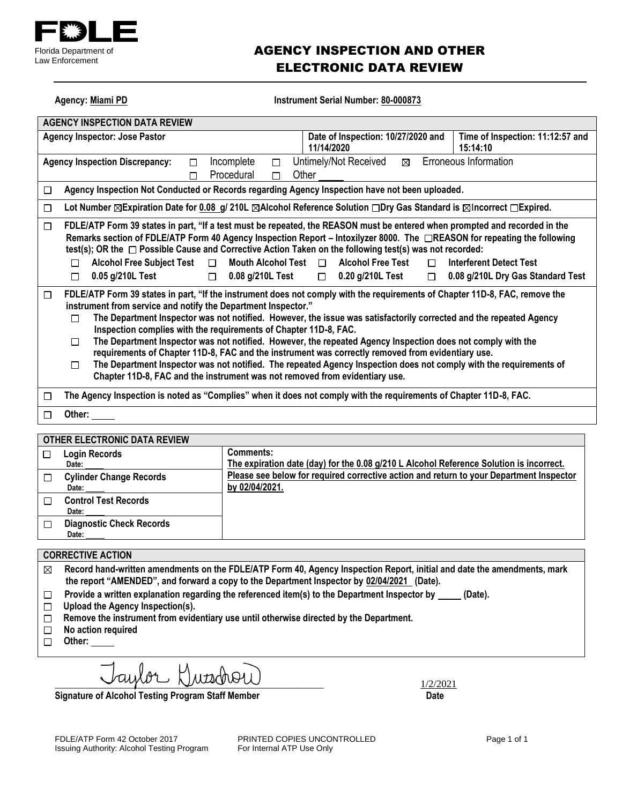

### AGENCY INSPECTION AND OTHER ELECTRONIC DATA REVIEW

Agency: Miami PD **Instrument Serial Number: 80-000873** 

| <b>AGENCY INSPECTION DATA REVIEW</b>                                                                                                                                                                                                                                                                                                                                                                                                                                                                                                                                                                                                                                                                                                                                                                                                |                                                                                                                   |                                                                     |  |  |  |
|-------------------------------------------------------------------------------------------------------------------------------------------------------------------------------------------------------------------------------------------------------------------------------------------------------------------------------------------------------------------------------------------------------------------------------------------------------------------------------------------------------------------------------------------------------------------------------------------------------------------------------------------------------------------------------------------------------------------------------------------------------------------------------------------------------------------------------------|-------------------------------------------------------------------------------------------------------------------|---------------------------------------------------------------------|--|--|--|
| <b>Agency Inspector: Jose Pastor</b>                                                                                                                                                                                                                                                                                                                                                                                                                                                                                                                                                                                                                                                                                                                                                                                                | Date of Inspection: 10/27/2020 and<br>11/14/2020                                                                  | Time of Inspection: 11:12:57 and<br>15:14:10                        |  |  |  |
| Incomplete<br><b>Agency Inspection Discrepancy:</b><br>П<br>Procedural<br>П                                                                                                                                                                                                                                                                                                                                                                                                                                                                                                                                                                                                                                                                                                                                                         | Erroneous Information<br>Untimely/Not Received<br>⊠<br>Other                                                      |                                                                     |  |  |  |
| Agency Inspection Not Conducted or Records regarding Agency Inspection have not been uploaded.<br>$\Box$                                                                                                                                                                                                                                                                                                                                                                                                                                                                                                                                                                                                                                                                                                                            |                                                                                                                   |                                                                     |  |  |  |
| Lot Number $\boxtimes$ Expiration Date for 0.08 g/ 210L $\boxtimes$ Alcohol Reference Solution $\Box$ Dry Gas Standard is $\boxtimes$ Incorrect $\Box$ Expired.<br>□                                                                                                                                                                                                                                                                                                                                                                                                                                                                                                                                                                                                                                                                |                                                                                                                   |                                                                     |  |  |  |
| FDLE/ATP Form 39 states in part, "If a test must be repeated, the REASON must be entered when prompted and recorded in the<br>□<br>Remarks section of FDLE/ATP Form 40 Agency Inspection Report – Intoxilyzer 8000. The □REASON for repeating the following<br>test(s); OR the $\Box$ Possible Cause and Corrective Action Taken on the following test(s) was not recorded:<br><b>Alcohol Free Subject Test</b><br>Mouth Alcohol Test $\Box$<br>П.<br>П<br>0.05 g/210L Test<br>0.08 g/210L Test<br>$\Box$<br>П                                                                                                                                                                                                                                                                                                                      | <b>Alcohol Free Test</b><br>П<br>0.20 g/210L Test<br>$\Box$<br>$\Box$                                             | <b>Interferent Detect Test</b><br>0.08 g/210L Dry Gas Standard Test |  |  |  |
| FDLE/ATP Form 39 states in part, "If the instrument does not comply with the requirements of Chapter 11D-8, FAC, remove the<br>□<br>instrument from service and notify the Department Inspector."<br>The Department Inspector was not notified. However, the issue was satisfactorily corrected and the repeated Agency<br>П<br>Inspection complies with the requirements of Chapter 11D-8, FAC.<br>The Department Inspector was not notified. However, the repeated Agency Inspection does not comply with the<br>П<br>requirements of Chapter 11D-8, FAC and the instrument was correctly removed from evidentiary use.<br>The Department Inspector was not notified. The repeated Agency Inspection does not comply with the requirements of<br>□<br>Chapter 11D-8, FAC and the instrument was not removed from evidentiary use. |                                                                                                                   |                                                                     |  |  |  |
| $\Box$                                                                                                                                                                                                                                                                                                                                                                                                                                                                                                                                                                                                                                                                                                                                                                                                                              | The Agency Inspection is noted as "Complies" when it does not comply with the requirements of Chapter 11D-8, FAC. |                                                                     |  |  |  |
| Other:<br>П                                                                                                                                                                                                                                                                                                                                                                                                                                                                                                                                                                                                                                                                                                                                                                                                                         |                                                                                                                   |                                                                     |  |  |  |
| -- -- -------- ---- --- ---                                                                                                                                                                                                                                                                                                                                                                                                                                                                                                                                                                                                                                                                                                                                                                                                         |                                                                                                                   |                                                                     |  |  |  |

| <b>OTHER ELECTRONIC DATA REVIEW</b>      |                                                                                                           |
|------------------------------------------|-----------------------------------------------------------------------------------------------------------|
| <b>Login Records</b><br>Date:            | Comments:<br>The expiration date (day) for the 0.08 g/210 L Alcohol Reference Solution is incorrect.      |
| <b>Cylinder Change Records</b><br>Date:  | Please see below for required corrective action and return to your Department Inspector<br>by 02/04/2021. |
| <b>Control Test Records</b><br>Date:     |                                                                                                           |
| <b>Diagnostic Check Records</b><br>Date: |                                                                                                           |
|                                          |                                                                                                           |

#### **CORRECTIVE ACTION**

**Record hand-written amendments on the FDLE/ATP Form 40, Agency Inspection Report, initial and date the amendments, mark the report "AMENDED", and forward a copy to the Department Inspector by 02/04/2021 (Date).**

- Provide a written explanation regarding the referenced item(s) to the Department Inspector by \_\_\_\_\_ (Date).  $\Box$
- **Upload the Agency Inspection(s).**
- **Remove the instrument from evidentiary use until otherwise directed by the Department.**
- **No action required**
- □ Other:

\_\_\_\_\_\_\_\_\_\_\_\_\_\_\_\_\_\_\_\_\_\_\_\_\_\_\_\_\_\_\_\_\_\_\_\_\_\_\_\_\_\_\_\_\_\_\_\_\_\_\_\_\_ 1/2/2021

Signature of Alcohol Testing Program Staff Member **Date 19th Clubs** Date

FDLE/ATP Form 42 October 2017 **PRINTED COPIES UNCONTROLLED** Page 1 of 1<br>
Issuing Authority: Alcohol Testing Program For Internal ATP Use Only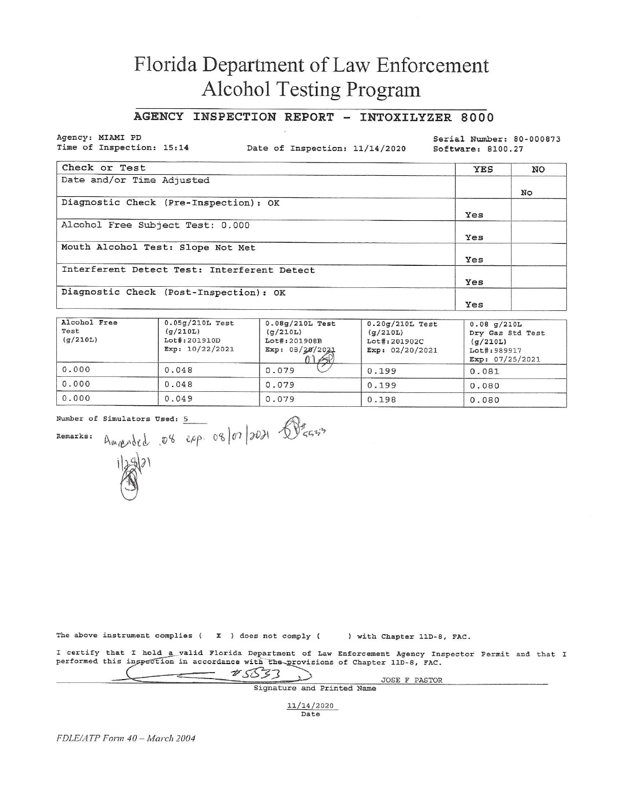## Florida Department of Law Enforcement Alcohol Testing Program

#### AGENCY INSPECTION REPORT - INTOXILYZER 8000

Agency: MIAMI PD Time of Inspection: 15:14

Date of Inspection: 11/14/2020

Serial Number: 80-000873 Software: 8100.27

| Check or Test                               | <b>YES</b> | NO |
|---------------------------------------------|------------|----|
| Date and/or Time Adjusted                   |            |    |
|                                             |            | No |
| Diagnostic Check (Pre-Inspection): OK       |            |    |
|                                             | Yes        |    |
| Alcohol Free Subject Test: 0.000            |            |    |
|                                             | Yes        |    |
| Mouth Alcohol Test: Slope Not Met           |            |    |
|                                             | Yes        |    |
| Interferent Detect Test: Interferent Detect |            |    |
|                                             | Yes        |    |
| Diagnostic Check (Post-Inspection): OK      |            |    |
|                                             | Yes        |    |

| Alcohol Free<br>Test<br>(q/210L) | $0.05g/210L$ Test<br>(q/210L)<br>Lot#:201910D<br>Exp: $10/22/2021$ | $0.08g/210L$ Test<br>(q/210L)<br>Lot#:201908B<br>Exp: 08/20/2021<br>22.68 | $0.20q/210L$ Test<br>(g/210L)<br>Lot#:201902C<br>Exp: $02/20/2021$ | 0.08 g/210L<br>Dry Gas Std Test<br>(q/210L)<br>Lot#: 989917<br>Exp: $07/25/2021$ |
|----------------------------------|--------------------------------------------------------------------|---------------------------------------------------------------------------|--------------------------------------------------------------------|----------------------------------------------------------------------------------|
| 0.000                            | 0.048                                                              | 0.079                                                                     | 0.199                                                              | 0.081                                                                            |
| 0.000                            | 0.048                                                              | 0.079                                                                     | 0.199                                                              | 0.080                                                                            |
| 0.000                            | 0.049                                                              | 0.079                                                                     | 0.198                                                              | 0.080                                                                            |

Number of Simulators Used: 5

Remarks:



The above instrument complies ( $X$ ) does not comply ( ) with Chapter 11D-8, FAC.

I certify that I hold a valid Florida Department of Law Enforcement Agency Inspector Permit and that I performed this inspection in accordance with the provisions of Chapter 11D-8, FAC.

ندد

 $*5533$ 

Signature and Printed Name

JOSE F PASTOR

11/14/2020 Date